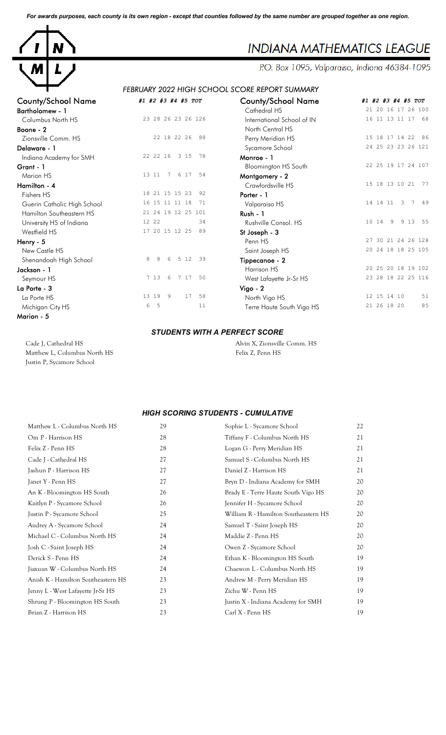*For awards purposes, each county is its own region - except that counties followed by the same number are grouped together as one region.*



# **INDIANA MATHEMATICS LEAGUE**

P.O. Box 1095, Valparaiso, Indiana 46384-1095

## *FEBRUARY 2022 HIGH SCHOOL SCORE REPORT SUMMARY*

| COUNTY/SCROOL INQUIRE       | #1 #2 #3 #4 #5 TOT        | County/School Name          | #1             |
|-----------------------------|---------------------------|-----------------------------|----------------|
| <b>Bartholomew - 1</b>      |                           | Cathedral HS                | $\overline{c}$ |
| Columbus North HS           | 23 28 26 23 26 126        | International School of IN  | $\mathbf{1}$   |
| Boone - 2                   |                           | North Central HS            |                |
| Zionsville Comm. HS         | 22 18 22 26<br>88         | Perry Meridian HS           | $\mathbf{1}$   |
| Delaware - 1                |                           | Sycamore School             | $\overline{c}$ |
| Indiana Academy for SMH     | 78<br>22 22 16<br>3 15    | Monroe - 1                  |                |
| Grant - 1                   |                           | <b>Bloomington HS South</b> | $\overline{c}$ |
| Marion HS                   | 13 11<br>7 6 17<br>54     | Montgomery - 2              |                |
| Hamilton - 4                |                           | Crawfordsville HS           | $\mathbf{1}$   |
| Fishers HS                  | 92<br>18 21 15 15 23      | Porter - 1                  |                |
| Guerin Catholic High School | 16 15 11 11 18<br>71      | Valparaiso HS               | $\mathbf{1}$   |
| Hamilton Southeastern HS    | 21 24 19 12 25 101        | <b>Rush - 1</b>             |                |
| University HS of Indiana    | 12 22<br>34               | Rushville Consol. HS        | $\mathbf{1}$   |
| Westfield HS                | 17 20 15 12 25<br>89      | St Joseph - 3               |                |
| Henry - 5                   |                           | Penn <sub>HS</sub>          | $\overline{c}$ |
| New Castle HS               |                           | Saint Joseph HS             | $\overline{c}$ |
| Shenandoah High School      | 8<br>5 12<br>8<br>6<br>39 | Tippecanoe - 2              |                |
| Jackson - 1                 |                           | Harrison HS                 | $\overline{c}$ |
| Seymour HS                  | 7 13<br>6<br>7 17<br>50   | West Lafayette Jr-Sr HS     | $\overline{c}$ |
| La Porte - 3                |                           | Vigo - 2                    |                |
| La Porte HS                 | 13 19<br>17<br>58<br>- 9  | North Vigo HS               | $\mathbf{1}$   |
| Michigan City HS            | 6<br>5<br>11              | Terre Haute South Vigo HS   | $\overline{c}$ |
| Marion - 5                  |                           |                             |                |

| County/School Name          | #1 #2 #3 #4 #5 TOT         | <b>County/School Name</b>   | #1 #2 #3 #4 #5 TOT                   |
|-----------------------------|----------------------------|-----------------------------|--------------------------------------|
| Bartholomew - 1             |                            | Cathedral HS                | 21 20 16 17 26 100                   |
| Columbus North HS           | 23 28 26 23 26 126         | International School of IN  | 16 11 13 11 17<br>68                 |
| Boone - 2                   |                            | North Central HS            |                                      |
| Zionsville Comm. HS         | 22 18 22 26<br>88          | Perry Meridian HS           | 15 18 17 14 22<br>86                 |
| Delaware - 1                |                            | Sycamore School             | 24 25 23 23 26 121                   |
| Indiana Academy for SMH     | 22 22 16 3 15<br>78        | Monroe - 1                  |                                      |
| Grant - 1                   |                            | <b>Bloomington HS South</b> | 22 25 19 17 24 107                   |
| Marion HS                   | 7 6 17<br>13 11<br>- 54    | Montgomery - 2              |                                      |
| Hamilton - 4                |                            | Crawfordsville HS           | 15 18 13 10 21<br>77                 |
| Fishers HS                  | 18 21 15 15 23<br>92       | Porter - 1                  |                                      |
| Guerin Catholic High School | 16 15 11 11 18<br>71       | Valparaiso HS               | 14  14  11<br>$3 \overline{7}$<br>49 |
| Hamilton Southeastern HS    | 21 24 19 12 25 101         | Rush - 1                    |                                      |
| University HS of Indiana    | 12 22<br>34                | Rushville Consol. HS        | 10 14<br>9<br>9 13 55                |
| Westfield HS                | 17 20 15 12 25<br>89       | St Joseph - 3               |                                      |
| Henry - 5                   |                            | Penn HS                     | 27 30 21 24 26 128                   |
| New Castle HS               |                            | Saint Joseph HS             | 20 24 18 18 25 105                   |
| Shenandoah High School      | 8<br>5 1 2<br>8<br>6<br>39 | Tippecanoe - 2              |                                      |
| Jackson - 1                 |                            | Harrison HS                 | 20 25 20 18 19 102                   |
| Seymour HS                  | 7 13<br>6<br>7 17<br>50    | West Lafayette Jr-Sr HS     | 23 28 18 22 25 116                   |
| La Porte - 3                |                            | $Vigo - 2$                  |                                      |
| La Porte HS                 | 13 19 9<br>17<br>58        | North Vigo HS               | 51<br>12 15 14 10                    |
| Michigan City HS            | 6<br>5<br>11               | Terre Haute South Vigo HS   | 85<br>21 26 18 20                    |
|                             |                            |                             |                                      |

#### *STUDENTS WITH A PERFECT SCORE*

| Cade J, Cathedral HS         |
|------------------------------|
| Matthew L, Columbus North HS |
| Justin P, Sycamore School    |

Alvin X, Zionsville Comm. HS S Felix Z, Penn HS

#### *HIGH SCORING STUDENTS - CUMULATIVE*

| Matthew L - Columbus North HS      | 29 | Sophie L - Sycamore School           | 22 |
|------------------------------------|----|--------------------------------------|----|
| Om P - Harrison HS                 | 28 | Tiffany F - Columbus North HS        | 21 |
| Felix Z - Penn HS                  | 28 | Logan G - Perry Meridian HS          | 21 |
| Cade J - Cathedral HS              | 27 | Samuel S - Columbus North HS         | 21 |
| Jashun P - Harrison HS             | 27 | Daniel Z - Harrison HS               | 21 |
| Janet Y - Penn HS                  | 27 | Bryn D - Indiana Academy for SMH     | 20 |
| An K - Bloomington HS South        | 26 | Brady E - Terre Haute South Vigo HS  | 20 |
| Kaitlyn P - Sycamore School        | 26 | Jennifer H - Sycamore School         | 20 |
| Justin P - Sycamore School         | 25 | William R - Hamilton Southeastern HS | 20 |
| Audrey A - Sycamore School         | 24 | Samuel T - Saint Joseph HS           | 20 |
| Michael C - Columbus North HS      | 24 | Maddie Z - Penn HS                   | 20 |
| Josh C - Saint Joseph HS           | 24 | Owen Z - Sycamore School             | 20 |
| Derick S - Penn HS                 | 24 | Ethan K - Bloomington HS South       | 19 |
| Jiaxuan W - Columbus North HS      | 24 | Chaewon L - Columbus North HS        | 19 |
| Anish K - Hamilton Southeastern HS | 23 | Andrew M - Perry Meridian HS         | 19 |
| Jenny L - West Lafayette Jr-Sr HS  | 23 | Zichu W - Penn HS                    | 19 |
| Shrung P - Bloomington HS South    | 23 | Justin X - Indiana Academy for SMH   | 19 |
| Brian Z - Harrison HS              | 23 | Carl X - Penn HS                     | 19 |